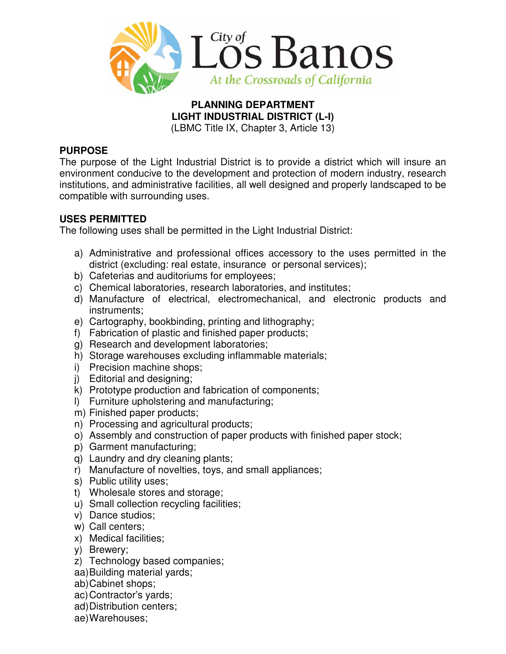

#### **PLANNING DEPARTMENT LIGHT INDUSTRIAL DISTRICT (L-I)**  (LBMC Title IX, Chapter 3, Article 13)

## **PURPOSE**

The purpose of the Light Industrial District is to provide a district which will insure an environment conducive to the development and protection of modern industry, research institutions, and administrative facilities, all well designed and properly landscaped to be compatible with surrounding uses.

## **USES PERMITTED**

The following uses shall be permitted in the Light Industrial District:

- a) Administrative and professional offices accessory to the uses permitted in the district (excluding: real estate, insurance or personal services);
- b) Cafeterias and auditoriums for employees;
- c) Chemical laboratories, research laboratories, and institutes;
- d) Manufacture of electrical, electromechanical, and electronic products and instruments;
- e) Cartography, bookbinding, printing and lithography;
- f) Fabrication of plastic and finished paper products;
- g) Research and development laboratories;
- h) Storage warehouses excluding inflammable materials;
- i) Precision machine shops;
- j) Editorial and designing;
- k) Prototype production and fabrication of components;
- l) Furniture upholstering and manufacturing;
- m) Finished paper products;
- n) Processing and agricultural products;
- o) Assembly and construction of paper products with finished paper stock;
- p) Garment manufacturing;
- q) Laundry and dry cleaning plants;
- r) Manufacture of novelties, toys, and small appliances;
- s) Public utility uses;
- t) Wholesale stores and storage;
- u) Small collection recycling facilities;
- v) Dance studios;
- w) Call centers;
- x) Medical facilities;
- y) Brewery;
- z) Technology based companies;
- aa) Building material yards;
- ab) Cabinet shops;
- ac) Contractor's yards;
- ad) Distribution centers;
- ae) Warehouses;